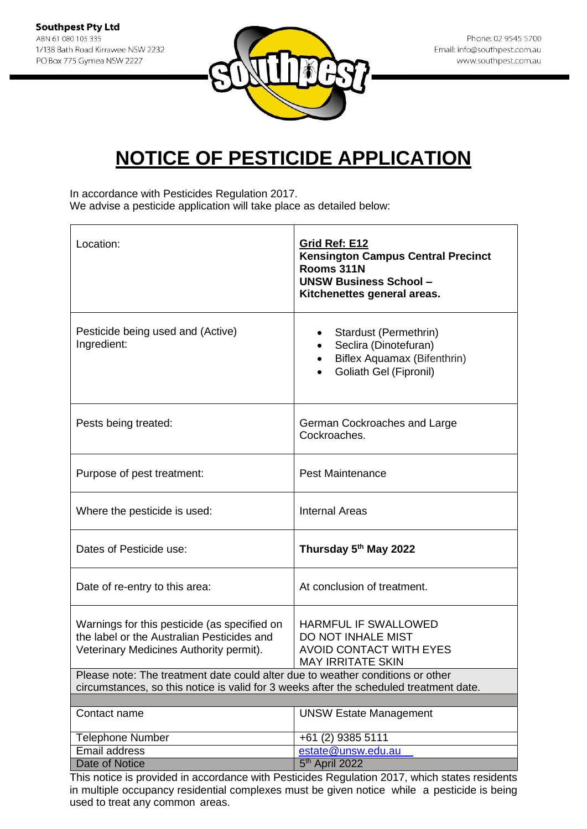

In accordance with Pesticides Regulation 2017. We advise a pesticide application will take place as detailed below:

| Location:                                                                                                                                                                | Grid Ref: E12<br><b>Kensington Campus Central Precinct</b><br>Rooms 311N<br><b>UNSW Business School-</b><br>Kitchenettes general areas. |
|--------------------------------------------------------------------------------------------------------------------------------------------------------------------------|-----------------------------------------------------------------------------------------------------------------------------------------|
| Pesticide being used and (Active)<br>Ingredient:                                                                                                                         | Stardust (Permethrin)<br>٠<br>Seclira (Dinotefuran)<br>Biflex Aquamax (Bifenthrin)<br>Goliath Gel (Fipronil)                            |
| Pests being treated:                                                                                                                                                     | German Cockroaches and Large<br>Cockroaches.                                                                                            |
| Purpose of pest treatment:                                                                                                                                               | <b>Pest Maintenance</b>                                                                                                                 |
| Where the pesticide is used:                                                                                                                                             | <b>Internal Areas</b>                                                                                                                   |
| Dates of Pesticide use:                                                                                                                                                  | Thursday 5th May 2022                                                                                                                   |
| Date of re-entry to this area:                                                                                                                                           | At conclusion of treatment.                                                                                                             |
| Warnings for this pesticide (as specified on<br>the label or the Australian Pesticides and<br>Veterinary Medicines Authority permit).                                    | <b>HARMFUL IF SWALLOWED</b><br>DO NOT INHALE MIST<br><b>AVOID CONTACT WITH EYES</b><br><b>MAY IRRITATE SKIN</b>                         |
| Please note: The treatment date could alter due to weather conditions or other<br>circumstances, so this notice is valid for 3 weeks after the scheduled treatment date. |                                                                                                                                         |
|                                                                                                                                                                          |                                                                                                                                         |
| Contact name                                                                                                                                                             | <b>UNSW Estate Management</b>                                                                                                           |
| <b>Telephone Number</b>                                                                                                                                                  | +61 (2) 9385 5111                                                                                                                       |
| Email address                                                                                                                                                            | estate@unsw.edu.au                                                                                                                      |
| Date of Notice                                                                                                                                                           | $5th$ April 2022                                                                                                                        |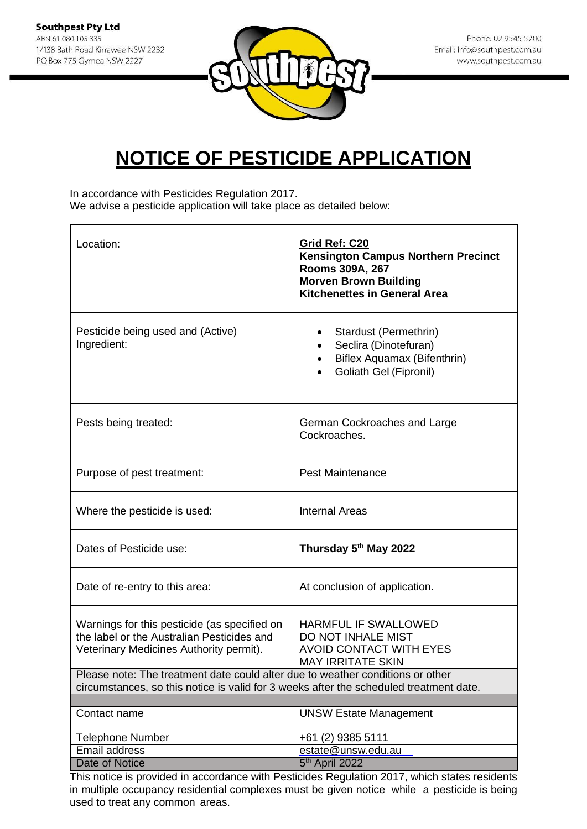

In accordance with Pesticides Regulation 2017. We advise a pesticide application will take place as detailed below:

| Location:                                                                                                                                                                | Grid Ref: C20<br>Kensington Campus Northern Precinct<br>Rooms 309A, 267<br><b>Morven Brown Building</b><br><b>Kitchenettes in General Area</b> |  |
|--------------------------------------------------------------------------------------------------------------------------------------------------------------------------|------------------------------------------------------------------------------------------------------------------------------------------------|--|
| Pesticide being used and (Active)<br>Ingredient:                                                                                                                         | Stardust (Permethrin)<br>Seclira (Dinotefuran)<br><b>Biflex Aquamax (Bifenthrin)</b><br>Goliath Gel (Fipronil)                                 |  |
| Pests being treated:                                                                                                                                                     | German Cockroaches and Large<br>Cockroaches.                                                                                                   |  |
| Purpose of pest treatment:                                                                                                                                               | <b>Pest Maintenance</b>                                                                                                                        |  |
| Where the pesticide is used:                                                                                                                                             | <b>Internal Areas</b>                                                                                                                          |  |
| Dates of Pesticide use:                                                                                                                                                  | Thursday 5th May 2022                                                                                                                          |  |
| Date of re-entry to this area:                                                                                                                                           | At conclusion of application.                                                                                                                  |  |
| Warnings for this pesticide (as specified on<br>the label or the Australian Pesticides and<br>Veterinary Medicines Authority permit).                                    | <b>HARMFUL IF SWALLOWED</b><br>DO NOT INHALE MIST<br><b>AVOID CONTACT WITH EYES</b><br><b>MAY IRRITATE SKIN</b>                                |  |
| Please note: The treatment date could alter due to weather conditions or other<br>circumstances, so this notice is valid for 3 weeks after the scheduled treatment date. |                                                                                                                                                |  |
|                                                                                                                                                                          |                                                                                                                                                |  |
| Contact name                                                                                                                                                             | <b>UNSW Estate Management</b>                                                                                                                  |  |
| <b>Telephone Number</b>                                                                                                                                                  | +61 (2) 9385 5111                                                                                                                              |  |
| Email address                                                                                                                                                            | estate@unsw.edu.au                                                                                                                             |  |
| <b>Date of Notice</b>                                                                                                                                                    | 5 <sup>th</sup> April 2022                                                                                                                     |  |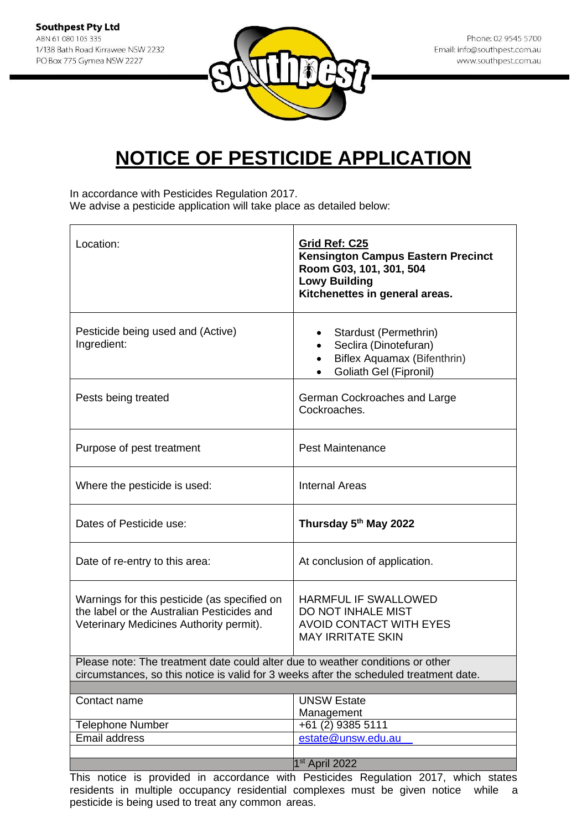

In accordance with Pesticides Regulation 2017. We advise a pesticide application will take place as detailed below:

| Location:                                                                                                                                                                | Grid Ref: C25<br><b>Kensington Campus Eastern Precinct</b><br>Room G03, 101, 301, 504<br><b>Lowy Building</b><br>Kitchenettes in general areas. |
|--------------------------------------------------------------------------------------------------------------------------------------------------------------------------|-------------------------------------------------------------------------------------------------------------------------------------------------|
| Pesticide being used and (Active)<br>Ingredient:                                                                                                                         | Stardust (Permethrin)<br>Seclira (Dinotefuran)<br>Biflex Aquamax (Bifenthrin)<br>Goliath Gel (Fipronil)                                         |
| Pests being treated                                                                                                                                                      | German Cockroaches and Large<br>Cockroaches.                                                                                                    |
| Purpose of pest treatment                                                                                                                                                | <b>Pest Maintenance</b>                                                                                                                         |
| Where the pesticide is used:                                                                                                                                             | <b>Internal Areas</b>                                                                                                                           |
| Dates of Pesticide use:                                                                                                                                                  | Thursday 5 <sup>th</sup> May 2022                                                                                                               |
| Date of re-entry to this area:                                                                                                                                           | At conclusion of application.                                                                                                                   |
| Warnings for this pesticide (as specified on<br>the label or the Australian Pesticides and<br>Veterinary Medicines Authority permit).                                    | <b>HARMFUL IF SWALLOWED</b><br>DO NOT INHALE MIST<br><b>AVOID CONTACT WITH EYES</b><br><b>MAY IRRITATE SKIN</b>                                 |
| Please note: The treatment date could alter due to weather conditions or other<br>circumstances, so this notice is valid for 3 weeks after the scheduled treatment date. |                                                                                                                                                 |
| Contact name<br><b>Telephone Number</b>                                                                                                                                  | <b>UNSW Estate</b><br>Management<br>$+61(2)$ 9385 5111                                                                                          |
| <b>Email address</b>                                                                                                                                                     | estate@unsw.edu.au                                                                                                                              |
|                                                                                                                                                                          | $1st$ April 2022                                                                                                                                |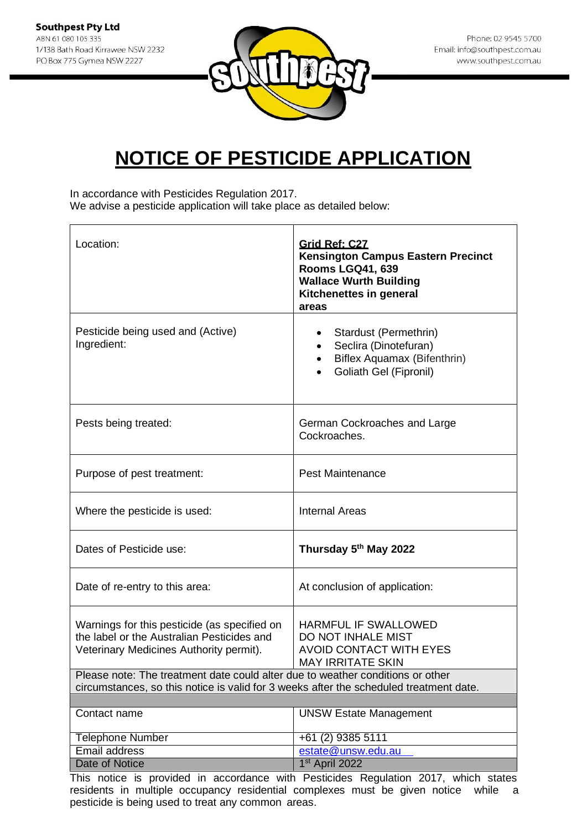

In accordance with Pesticides Regulation 2017. We advise a pesticide application will take place as detailed below:

| Location:                                                                                                                                                                | Grid Ref: C27<br><b>Kensington Campus Eastern Precinct</b><br><b>Rooms LGQ41, 639</b><br><b>Wallace Wurth Building</b><br>Kitchenettes in general<br>areas |
|--------------------------------------------------------------------------------------------------------------------------------------------------------------------------|------------------------------------------------------------------------------------------------------------------------------------------------------------|
| Pesticide being used and (Active)<br>Ingredient:                                                                                                                         | Stardust (Permethrin)<br>٠<br>Seclira (Dinotefuran)<br>Biflex Aquamax (Bifenthrin)<br>Goliath Gel (Fipronil)                                               |
| Pests being treated:                                                                                                                                                     | German Cockroaches and Large<br>Cockroaches.                                                                                                               |
| Purpose of pest treatment:                                                                                                                                               | <b>Pest Maintenance</b>                                                                                                                                    |
| Where the pesticide is used:                                                                                                                                             | <b>Internal Areas</b>                                                                                                                                      |
| Dates of Pesticide use:                                                                                                                                                  | Thursday 5 <sup>th</sup> May 2022                                                                                                                          |
| Date of re-entry to this area:                                                                                                                                           | At conclusion of application:                                                                                                                              |
| Warnings for this pesticide (as specified on<br>the label or the Australian Pesticides and<br>Veterinary Medicines Authority permit).                                    | HARMFUL IF SWALLOWED<br>DO NOT INHALE MIST<br><b>AVOID CONTACT WITH EYES</b><br><b>MAY IRRITATE SKIN</b>                                                   |
| Please note: The treatment date could alter due to weather conditions or other<br>circumstances, so this notice is valid for 3 weeks after the scheduled treatment date. |                                                                                                                                                            |
|                                                                                                                                                                          |                                                                                                                                                            |
| Contact name                                                                                                                                                             | <b>UNSW Estate Management</b>                                                                                                                              |
| <b>Telephone Number</b>                                                                                                                                                  | +61 (2) 9385 5111                                                                                                                                          |
| Email address                                                                                                                                                            | estate@unsw.edu.au                                                                                                                                         |
| <b>Date of Notice</b>                                                                                                                                                    | 1st April 2022                                                                                                                                             |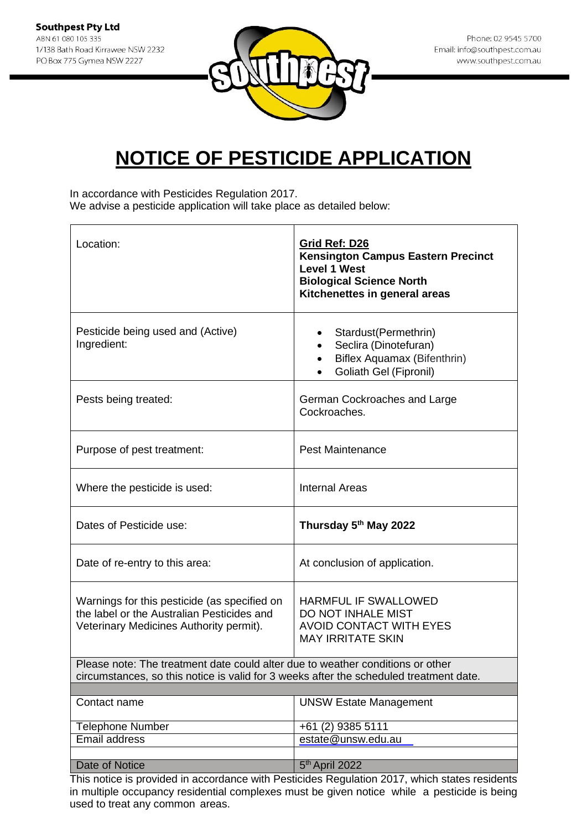

In accordance with Pesticides Regulation 2017. We advise a pesticide application will take place as detailed below:

| Location:                                                                                                                                                                | Grid Ref: D26<br><b>Kensington Campus Eastern Precinct</b><br><b>Level 1 West</b><br><b>Biological Science North</b><br>Kitchenettes in general areas |
|--------------------------------------------------------------------------------------------------------------------------------------------------------------------------|-------------------------------------------------------------------------------------------------------------------------------------------------------|
| Pesticide being used and (Active)<br>Ingredient:                                                                                                                         | Stardust(Permethrin)<br>٠<br>Seclira (Dinotefuran)<br>Biflex Aquamax (Bifenthrin)<br>$\bullet$<br>Goliath Gel (Fipronil)                              |
| Pests being treated:                                                                                                                                                     | German Cockroaches and Large<br>Cockroaches.                                                                                                          |
| Purpose of pest treatment:                                                                                                                                               | <b>Pest Maintenance</b>                                                                                                                               |
| Where the pesticide is used:                                                                                                                                             | <b>Internal Areas</b>                                                                                                                                 |
| Dates of Pesticide use:                                                                                                                                                  | Thursday 5th May 2022                                                                                                                                 |
| Date of re-entry to this area:                                                                                                                                           | At conclusion of application.                                                                                                                         |
| Warnings for this pesticide (as specified on<br>the label or the Australian Pesticides and<br>Veterinary Medicines Authority permit).                                    | HARMFUL IF SWALLOWED<br><b>DO NOT INHALE MIST</b><br><b>AVOID CONTACT WITH EYES</b><br><b>MAY IRRITATE SKIN</b>                                       |
| Please note: The treatment date could alter due to weather conditions or other<br>circumstances, so this notice is valid for 3 weeks after the scheduled treatment date. |                                                                                                                                                       |
| Contact name                                                                                                                                                             | <b>UNSW Estate Management</b>                                                                                                                         |
| <b>Telephone Number</b>                                                                                                                                                  | +61 (2) 9385 5111                                                                                                                                     |
| Email address                                                                                                                                                            | estate@unsw.edu.au                                                                                                                                    |
| Date of Notice                                                                                                                                                           | 5 <sup>th</sup> April 2022                                                                                                                            |
|                                                                                                                                                                          | This notice is provided in accordance with Posticides Poquilation 2017, which states residents                                                        |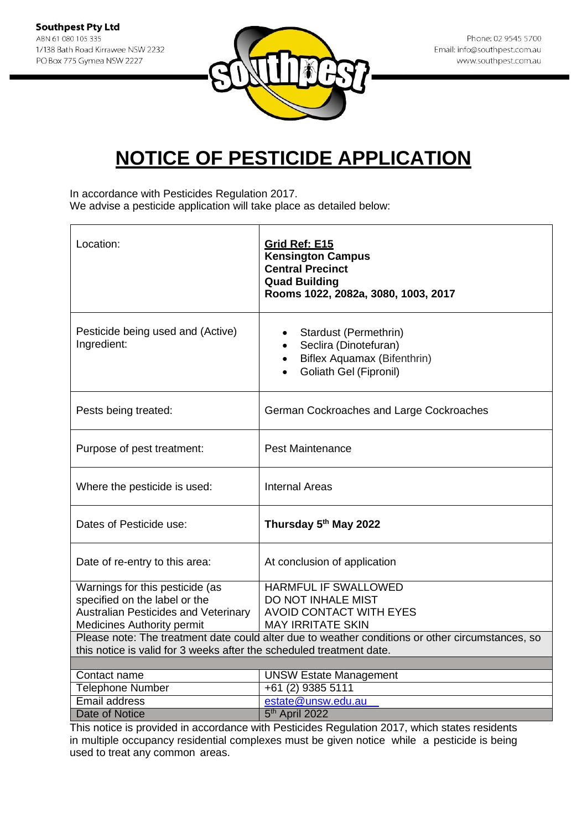**Southpest Pty Ltd** ABN 61 080 105 335 1/138 Bath Road Kirrawee NSW 2232 PO Box 775 Gymea NSW 2227



# **NOTICE OF PESTICIDE APPLICATION**

In accordance with Pesticides Regulation 2017.

We advise a pesticide application will take place as detailed below:

| Location:                                                                                                                                                                | Grid Ref: E15<br><b>Kensington Campus</b><br><b>Central Precinct</b><br><b>Quad Building</b><br>Rooms 1022, 2082a, 3080, 1003, 2017 |  |
|--------------------------------------------------------------------------------------------------------------------------------------------------------------------------|-------------------------------------------------------------------------------------------------------------------------------------|--|
| Pesticide being used and (Active)<br>Ingredient:                                                                                                                         | Stardust (Permethrin)<br>Seclira (Dinotefuran)<br>Biflex Aquamax (Bifenthrin)<br><b>Goliath Gel (Fipronil)</b>                      |  |
| Pests being treated:                                                                                                                                                     | German Cockroaches and Large Cockroaches                                                                                            |  |
| Purpose of pest treatment:                                                                                                                                               | <b>Pest Maintenance</b>                                                                                                             |  |
| Where the pesticide is used:                                                                                                                                             | <b>Internal Areas</b>                                                                                                               |  |
| Dates of Pesticide use:                                                                                                                                                  | Thursday 5th May 2022                                                                                                               |  |
| Date of re-entry to this area:                                                                                                                                           | At conclusion of application                                                                                                        |  |
| Warnings for this pesticide (as                                                                                                                                          | HARMFUL IF SWALLOWED                                                                                                                |  |
| specified on the label or the                                                                                                                                            | DO NOT INHALE MIST                                                                                                                  |  |
| <b>Australian Pesticides and Veterinary</b><br><b>Medicines Authority permit</b>                                                                                         | <b>AVOID CONTACT WITH EYES</b><br><b>MAY IRRITATE SKIN</b>                                                                          |  |
|                                                                                                                                                                          |                                                                                                                                     |  |
| Please note: The treatment date could alter due to weather conditions or other circumstances, so<br>this notice is valid for 3 weeks after the scheduled treatment date. |                                                                                                                                     |  |
|                                                                                                                                                                          |                                                                                                                                     |  |
| Contact name                                                                                                                                                             | <b>UNSW Estate Management</b>                                                                                                       |  |
| <b>Telephone Number</b>                                                                                                                                                  | +61 (2) 9385 5111                                                                                                                   |  |
| <b>Email address</b>                                                                                                                                                     | estate@unsw.edu.au                                                                                                                  |  |
| <b>Date of Notice</b>                                                                                                                                                    | 5 <sup>th</sup> April 2022                                                                                                          |  |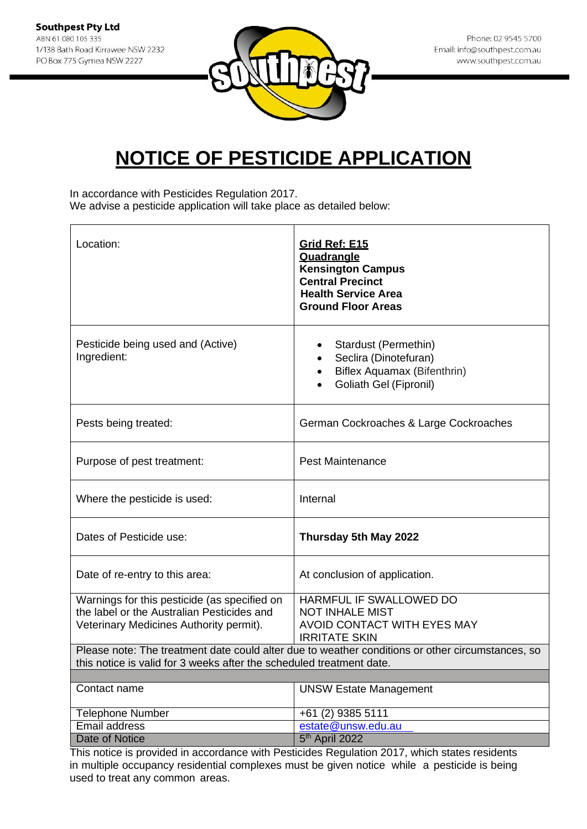

In accordance with Pesticides Regulation 2017. We advise a pesticide application will take place as detailed below:

| Location:                                                                                                                                                                | Grid Ref: E15<br>Quadrangle<br><b>Kensington Campus</b><br><b>Central Precinct</b><br><b>Health Service Area</b><br><b>Ground Floor Areas</b> |
|--------------------------------------------------------------------------------------------------------------------------------------------------------------------------|-----------------------------------------------------------------------------------------------------------------------------------------------|
| Pesticide being used and (Active)<br>Ingredient:                                                                                                                         | Stardust (Permethin)<br>Seclira (Dinotefuran)<br>Biflex Aquamax (Bifenthrin)<br><b>Goliath Gel (Fipronil)</b>                                 |
| Pests being treated:                                                                                                                                                     | German Cockroaches & Large Cockroaches                                                                                                        |
| Purpose of pest treatment:                                                                                                                                               | <b>Pest Maintenance</b>                                                                                                                       |
| Where the pesticide is used:                                                                                                                                             | Internal                                                                                                                                      |
| Dates of Pesticide use:                                                                                                                                                  | Thursday 5th May 2022                                                                                                                         |
| Date of re-entry to this area:                                                                                                                                           | At conclusion of application.                                                                                                                 |
| Warnings for this pesticide (as specified on<br>the label or the Australian Pesticides and<br>Veterinary Medicines Authority permit).                                    | HARMFUL IF SWALLOWED DO<br><b>NOT INHALE MIST</b><br>AVOID CONTACT WITH EYES MAY<br><b>IRRITATE SKIN</b>                                      |
| Please note: The treatment date could alter due to weather conditions or other circumstances, so<br>this notice is valid for 3 weeks after the scheduled treatment date. |                                                                                                                                               |
|                                                                                                                                                                          |                                                                                                                                               |
| Contact name                                                                                                                                                             | <b>UNSW Estate Management</b>                                                                                                                 |
| <b>Telephone Number</b>                                                                                                                                                  | +61 (2) 9385 5111                                                                                                                             |
| <b>Email address</b>                                                                                                                                                     | estate@unsw.edu.au                                                                                                                            |
| Date of Notice                                                                                                                                                           | 5 <sup>th</sup> April 2022                                                                                                                    |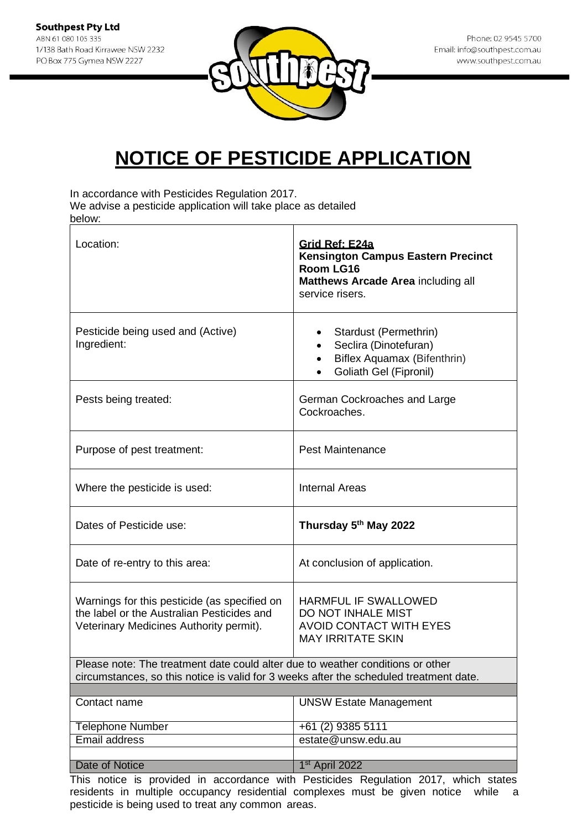

In accordance with Pesticides Regulation 2017.

We advise a pesticide application will take place as detailed below:

| Location:                                                                                                                                                                | Grid Ref: E24a<br><b>Kensington Campus Eastern Precinct</b><br>Room LG16<br><b>Matthews Arcade Area including all</b><br>service risers. |
|--------------------------------------------------------------------------------------------------------------------------------------------------------------------------|------------------------------------------------------------------------------------------------------------------------------------------|
| Pesticide being used and (Active)<br>Ingredient:                                                                                                                         | Stardust (Permethrin)<br>Seclira (Dinotefuran)<br>Biflex Aquamax (Bifenthrin)<br>Goliath Gel (Fipronil)                                  |
| Pests being treated:                                                                                                                                                     | German Cockroaches and Large<br>Cockroaches.                                                                                             |
| Purpose of pest treatment:                                                                                                                                               | <b>Pest Maintenance</b>                                                                                                                  |
| Where the pesticide is used:                                                                                                                                             | <b>Internal Areas</b>                                                                                                                    |
| Dates of Pesticide use:                                                                                                                                                  | Thursday 5 <sup>th</sup> May 2022                                                                                                        |
| Date of re-entry to this area:                                                                                                                                           | At conclusion of application.                                                                                                            |
| Warnings for this pesticide (as specified on<br>the label or the Australian Pesticides and<br>Veterinary Medicines Authority permit).                                    | HARMFUL IF SWALLOWED<br>DO NOT INHALE MIST<br><b>AVOID CONTACT WITH EYES</b><br><b>MAY IRRITATE SKIN</b>                                 |
| Please note: The treatment date could alter due to weather conditions or other<br>circumstances, so this notice is valid for 3 weeks after the scheduled treatment date. |                                                                                                                                          |
| Contact name                                                                                                                                                             | <b>UNSW Estate Management</b>                                                                                                            |
| <b>Telephone Number</b>                                                                                                                                                  | +61 (2) 9385 5111                                                                                                                        |
| <b>Email address</b>                                                                                                                                                     | estate@unsw.edu.au                                                                                                                       |
|                                                                                                                                                                          |                                                                                                                                          |
| Date of Notice                                                                                                                                                           | 1 <sup>st</sup> April 2022                                                                                                               |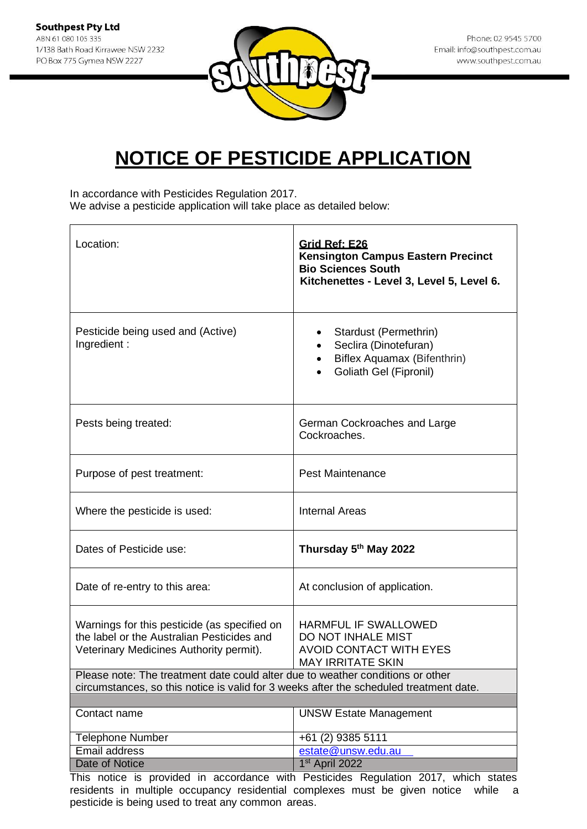

In accordance with Pesticides Regulation 2017. We advise a pesticide application will take place as detailed below:

| Location:                                                                                                                                                                | Grid Ref: E26<br><b>Kensington Campus Eastern Precinct</b><br><b>Bio Sciences South</b><br>Kitchenettes - Level 3, Level 5, Level 6. |
|--------------------------------------------------------------------------------------------------------------------------------------------------------------------------|--------------------------------------------------------------------------------------------------------------------------------------|
| Pesticide being used and (Active)<br>Ingredient:                                                                                                                         | Stardust (Permethrin)<br>Seclira (Dinotefuran)<br>Biflex Aquamax (Bifenthrin)<br>Goliath Gel (Fipronil)                              |
| Pests being treated:                                                                                                                                                     | German Cockroaches and Large<br>Cockroaches.                                                                                         |
| Purpose of pest treatment:                                                                                                                                               | <b>Pest Maintenance</b>                                                                                                              |
| Where the pesticide is used:                                                                                                                                             | <b>Internal Areas</b>                                                                                                                |
| Dates of Pesticide use:                                                                                                                                                  | Thursday 5th May 2022                                                                                                                |
| Date of re-entry to this area:                                                                                                                                           | At conclusion of application.                                                                                                        |
| Warnings for this pesticide (as specified on<br>the label or the Australian Pesticides and<br>Veterinary Medicines Authority permit).                                    | <b>HARMFUL IF SWALLOWED</b><br>DO NOT INHALE MIST<br><b>AVOID CONTACT WITH EYES</b><br><b>MAY IRRITATE SKIN</b>                      |
| Please note: The treatment date could alter due to weather conditions or other<br>circumstances, so this notice is valid for 3 weeks after the scheduled treatment date. |                                                                                                                                      |
|                                                                                                                                                                          |                                                                                                                                      |
| Contact name                                                                                                                                                             | <b>UNSW Estate Management</b>                                                                                                        |
| <b>Telephone Number</b>                                                                                                                                                  | +61 (2) 9385 5111                                                                                                                    |
| Email address                                                                                                                                                            | estate@unsw.edu.au                                                                                                                   |
| Date of Notice                                                                                                                                                           | 1 <sup>st</sup> April 2022                                                                                                           |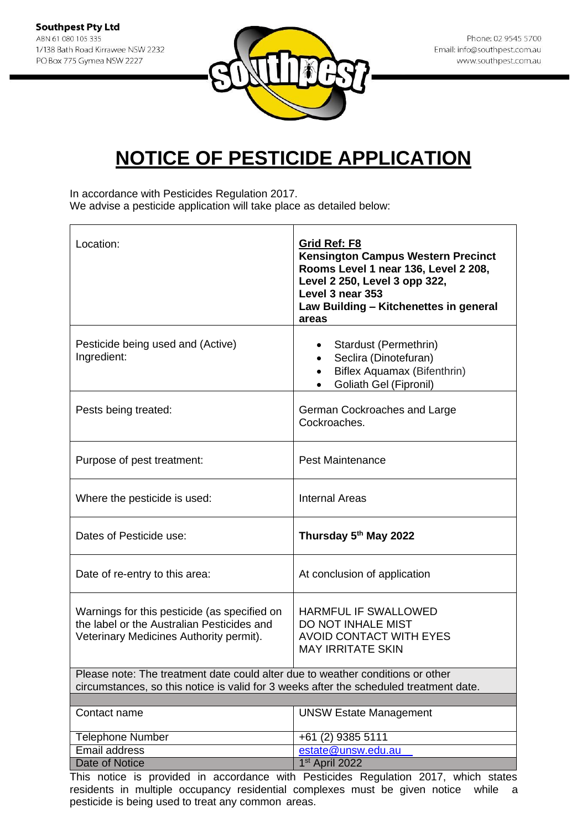

In accordance with Pesticides Regulation 2017.

We advise a pesticide application will take place as detailed below:

| Location:                                                                                                                                                                | Grid Ref: F8<br><b>Kensington Campus Western Precinct</b><br>Rooms Level 1 near 136, Level 2 208,<br>Level 2 250, Level 3 opp 322,<br>Level 3 near 353<br>Law Building - Kitchenettes in general<br>areas |  |
|--------------------------------------------------------------------------------------------------------------------------------------------------------------------------|-----------------------------------------------------------------------------------------------------------------------------------------------------------------------------------------------------------|--|
| Pesticide being used and (Active)<br>Ingredient:                                                                                                                         | Stardust (Permethrin)<br>$\bullet$<br>Seclira (Dinotefuran)<br>$\bullet$<br>Biflex Aquamax (Bifenthrin)<br>$\bullet$<br>Goliath Gel (Fipronil)                                                            |  |
| Pests being treated:                                                                                                                                                     | German Cockroaches and Large<br>Cockroaches.                                                                                                                                                              |  |
| Purpose of pest treatment:                                                                                                                                               | <b>Pest Maintenance</b>                                                                                                                                                                                   |  |
| Where the pesticide is used:                                                                                                                                             | <b>Internal Areas</b>                                                                                                                                                                                     |  |
| Dates of Pesticide use:                                                                                                                                                  | Thursday 5th May 2022                                                                                                                                                                                     |  |
| Date of re-entry to this area:                                                                                                                                           | At conclusion of application                                                                                                                                                                              |  |
| Warnings for this pesticide (as specified on<br>the label or the Australian Pesticides and<br>Veterinary Medicines Authority permit).                                    | <b>HARMFUL IF SWALLOWED</b><br>DO NOT INHALE MIST<br><b>AVOID CONTACT WITH EYES</b><br><b>MAY IRRITATE SKIN</b>                                                                                           |  |
| Please note: The treatment date could alter due to weather conditions or other<br>circumstances, so this notice is valid for 3 weeks after the scheduled treatment date. |                                                                                                                                                                                                           |  |
| Contact name                                                                                                                                                             | <b>UNSW Estate Management</b>                                                                                                                                                                             |  |
|                                                                                                                                                                          |                                                                                                                                                                                                           |  |
| <b>Telephone Number</b>                                                                                                                                                  | +61 (2) 9385 5111                                                                                                                                                                                         |  |
| Email address                                                                                                                                                            | estate@unsw.edu.au                                                                                                                                                                                        |  |
| Date of Notice                                                                                                                                                           | 1 <sup>st</sup> April 2022                                                                                                                                                                                |  |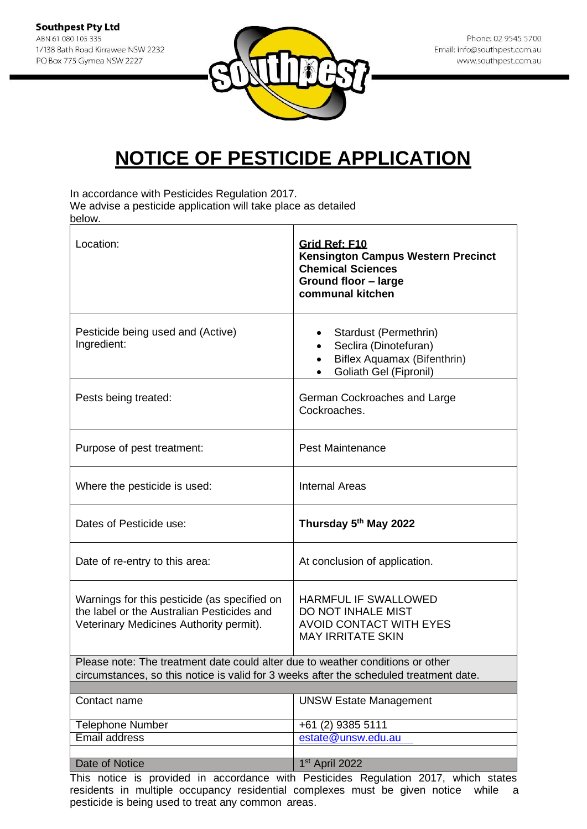

In accordance with Pesticides Regulation 2017.

We advise a pesticide application will take place as detailed below.

| Location:                                                                                                                                                                | Grid Ref: F10<br><b>Kensington Campus Western Precinct</b><br><b>Chemical Sciences</b><br>Ground floor - large<br>communal kitchen |  |
|--------------------------------------------------------------------------------------------------------------------------------------------------------------------------|------------------------------------------------------------------------------------------------------------------------------------|--|
| Pesticide being used and (Active)<br>Ingredient:                                                                                                                         | Stardust (Permethrin)<br>Seclira (Dinotefuran)<br>Biflex Aquamax (Bifenthrin)<br>Goliath Gel (Fipronil)                            |  |
| Pests being treated:                                                                                                                                                     | German Cockroaches and Large<br>Cockroaches.                                                                                       |  |
| Purpose of pest treatment:                                                                                                                                               | <b>Pest Maintenance</b>                                                                                                            |  |
| Where the pesticide is used:                                                                                                                                             | <b>Internal Areas</b>                                                                                                              |  |
| Dates of Pesticide use:                                                                                                                                                  | Thursday 5th May 2022                                                                                                              |  |
| Date of re-entry to this area:                                                                                                                                           | At conclusion of application.                                                                                                      |  |
| Warnings for this pesticide (as specified on<br>the label or the Australian Pesticides and<br>Veterinary Medicines Authority permit).                                    | HARMFUL IF SWALLOWED<br>DO NOT INHALE MIST<br><b>AVOID CONTACT WITH EYES</b><br><b>MAY IRRITATE SKIN</b>                           |  |
| Please note: The treatment date could alter due to weather conditions or other<br>circumstances, so this notice is valid for 3 weeks after the scheduled treatment date. |                                                                                                                                    |  |
| Contact name                                                                                                                                                             | <b>UNSW Estate Management</b>                                                                                                      |  |
| <b>Telephone Number</b>                                                                                                                                                  | +61 (2) 9385 5111                                                                                                                  |  |
| <b>Email address</b>                                                                                                                                                     | estate@unsw.edu.au                                                                                                                 |  |
| Date of Notice                                                                                                                                                           | 1st April 2022                                                                                                                     |  |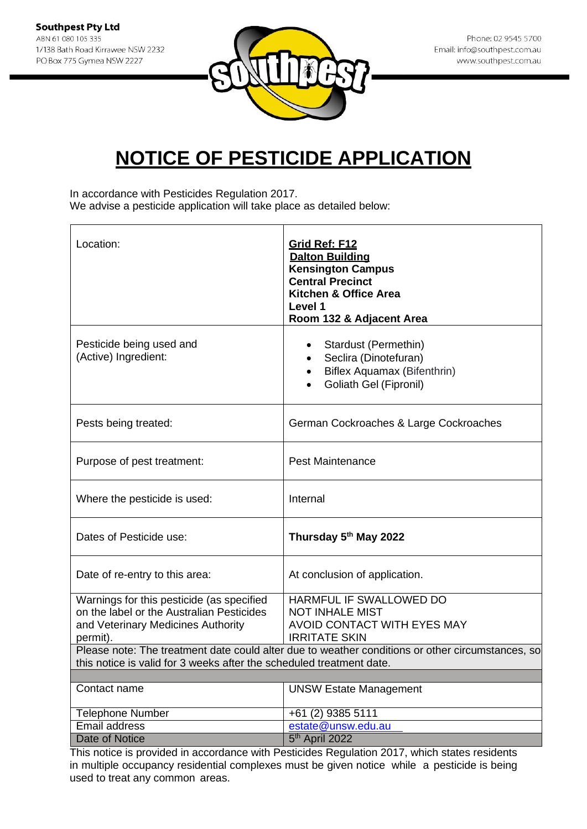

In accordance with Pesticides Regulation 2017. We advise a pesticide application will take place as detailed below:

| Location:                                                                                                                                                                | Grid Ref: F12<br><b>Dalton Building</b><br><b>Kensington Campus</b><br><b>Central Precinct</b><br>Kitchen & Office Area<br>Level 1<br>Room 132 & Adjacent Area |
|--------------------------------------------------------------------------------------------------------------------------------------------------------------------------|----------------------------------------------------------------------------------------------------------------------------------------------------------------|
| Pesticide being used and<br>(Active) Ingredient:                                                                                                                         | Stardust (Permethin)<br>Seclira (Dinotefuran)<br>Biflex Aquamax (Bifenthrin)<br>Goliath Gel (Fipronil)                                                         |
| Pests being treated:                                                                                                                                                     | German Cockroaches & Large Cockroaches                                                                                                                         |
| Purpose of pest treatment:                                                                                                                                               | <b>Pest Maintenance</b>                                                                                                                                        |
| Where the pesticide is used:                                                                                                                                             | Internal                                                                                                                                                       |
| Dates of Pesticide use:                                                                                                                                                  | Thursday 5 <sup>th</sup> May 2022                                                                                                                              |
| Date of re-entry to this area:                                                                                                                                           | At conclusion of application.                                                                                                                                  |
| Warnings for this pesticide (as specified<br>on the label or the Australian Pesticides<br>and Veterinary Medicines Authority<br>permit).                                 | HARMFUL IF SWALLOWED DO<br><b>NOT INHALE MIST</b><br>AVOID CONTACT WITH EYES MAY<br><b>IRRITATE SKIN</b>                                                       |
| Please note: The treatment date could alter due to weather conditions or other circumstances, so<br>this notice is valid for 3 weeks after the scheduled treatment date. |                                                                                                                                                                |
| Contact name                                                                                                                                                             | <b>UNSW Estate Management</b>                                                                                                                                  |
| <b>Telephone Number</b>                                                                                                                                                  | +61 (2) 9385 5111                                                                                                                                              |
| <b>Email address</b>                                                                                                                                                     | estate@unsw.edu.au                                                                                                                                             |
| <b>Date of Notice</b>                                                                                                                                                    | 5 <sup>th</sup> April 2022                                                                                                                                     |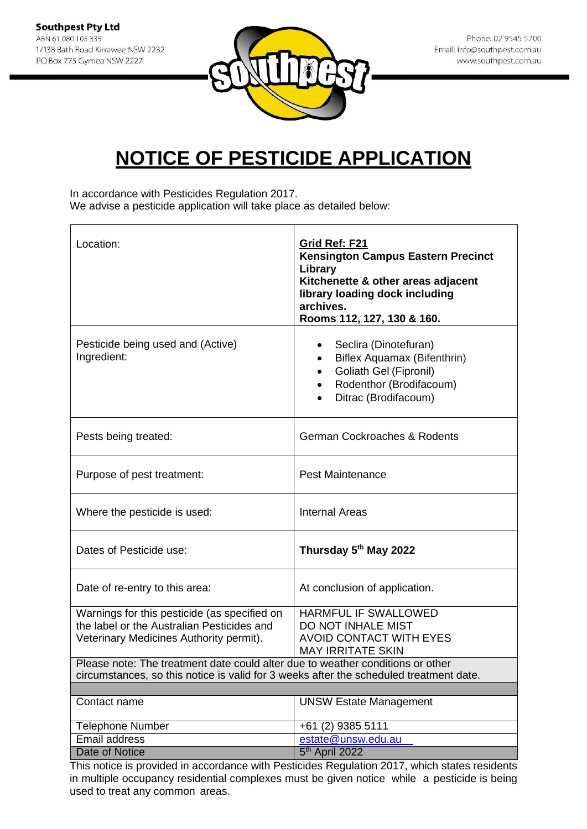

In accordance with Pesticides Regulation 2017. We advise a pesticide application will take place as detailed below:

| Location:                                                                                                                                                                | Grid Ref: F21<br><b>Kensington Campus Eastern Precinct</b><br>Library<br>Kitchenette & other areas adjacent<br>library loading dock including<br>archives.<br>Rooms 112, 127, 130 & 160. |
|--------------------------------------------------------------------------------------------------------------------------------------------------------------------------|------------------------------------------------------------------------------------------------------------------------------------------------------------------------------------------|
| Pesticide being used and (Active)<br>Ingredient:                                                                                                                         | Seclira (Dinotefuran)<br>Biflex Aquamax (Bifenthrin)<br>Goliath Gel (Fipronil)<br>Rodenthor (Brodifacoum)<br>Ditrac (Brodifacoum)                                                        |
| Pests being treated:                                                                                                                                                     | <b>German Cockroaches &amp; Rodents</b>                                                                                                                                                  |
| Purpose of pest treatment:                                                                                                                                               | <b>Pest Maintenance</b>                                                                                                                                                                  |
| Where the pesticide is used:                                                                                                                                             | <b>Internal Areas</b>                                                                                                                                                                    |
| Dates of Pesticide use:                                                                                                                                                  | Thursday 5th May 2022                                                                                                                                                                    |
| Date of re-entry to this area:                                                                                                                                           | At conclusion of application.                                                                                                                                                            |
| Warnings for this pesticide (as specified on<br>the label or the Australian Pesticides and<br>Veterinary Medicines Authority permit).                                    | HARMFUL IF SWALLOWED<br>DO NOT INHALE MIST<br><b>AVOID CONTACT WITH EYES</b><br><b>MAY IRRITATE SKIN</b>                                                                                 |
| Please note: The treatment date could alter due to weather conditions or other<br>circumstances, so this notice is valid for 3 weeks after the scheduled treatment date. |                                                                                                                                                                                          |
|                                                                                                                                                                          |                                                                                                                                                                                          |
| Contact name                                                                                                                                                             | <b>UNSW Estate Management</b>                                                                                                                                                            |
| <b>Telephone Number</b>                                                                                                                                                  | +61 (2) 9385 5111                                                                                                                                                                        |
| Email address                                                                                                                                                            | estate@unsw.edu.au                                                                                                                                                                       |
| Date of Notice                                                                                                                                                           | 5 <sup>th</sup> April 2022                                                                                                                                                               |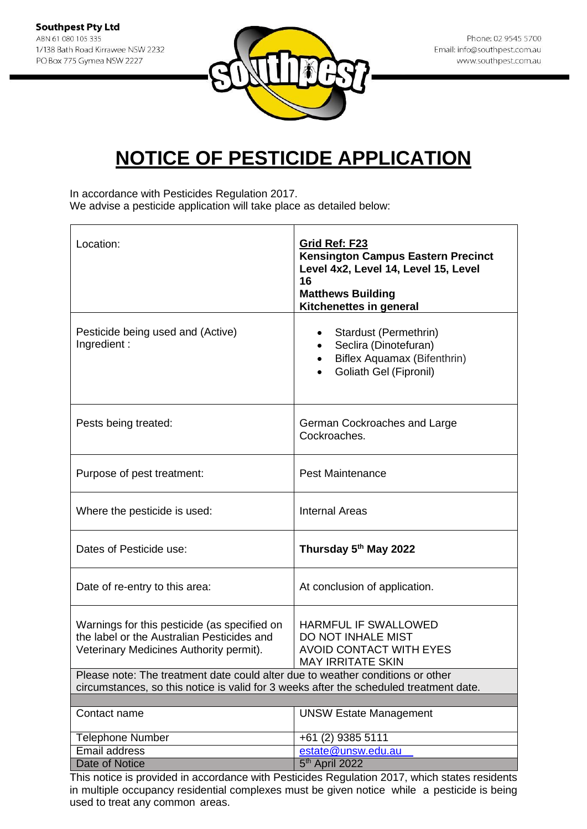

In accordance with Pesticides Regulation 2017. We advise a pesticide application will take place as detailed below:

| Location:                                                                                                                                                                                                               | Grid Ref: F23<br><b>Kensington Campus Eastern Precinct</b><br>Level 4x2, Level 14, Level 15, Level<br>16<br><b>Matthews Building</b><br>Kitchenettes in general |
|-------------------------------------------------------------------------------------------------------------------------------------------------------------------------------------------------------------------------|-----------------------------------------------------------------------------------------------------------------------------------------------------------------|
| Pesticide being used and (Active)<br>Ingredient:                                                                                                                                                                        | Stardust (Permethrin)<br>Seclira (Dinotefuran)<br><b>Biflex Aquamax (Bifenthrin)</b><br>Goliath Gel (Fipronil)                                                  |
| Pests being treated:                                                                                                                                                                                                    | German Cockroaches and Large<br>Cockroaches.                                                                                                                    |
| Purpose of pest treatment:                                                                                                                                                                                              | <b>Pest Maintenance</b>                                                                                                                                         |
| Where the pesticide is used:                                                                                                                                                                                            | <b>Internal Areas</b>                                                                                                                                           |
| Dates of Pesticide use:                                                                                                                                                                                                 | Thursday 5 <sup>th</sup> May 2022                                                                                                                               |
| Date of re-entry to this area:                                                                                                                                                                                          | At conclusion of application.                                                                                                                                   |
| Warnings for this pesticide (as specified on<br>the label or the Australian Pesticides and<br>Veterinary Medicines Authority permit).<br>Please note: The treatment date could alter due to weather conditions or other | <b>HARMFUL IF SWALLOWED</b><br><b>DO NOT INHALE MIST</b><br><b>AVOID CONTACT WITH EYES</b><br><b>MAY IRRITATE SKIN</b>                                          |
| circumstances, so this notice is valid for 3 weeks after the scheduled treatment date.                                                                                                                                  |                                                                                                                                                                 |
| Contact name                                                                                                                                                                                                            | <b>UNSW Estate Management</b>                                                                                                                                   |
| <b>Telephone Number</b>                                                                                                                                                                                                 | +61 (2) 9385 5111                                                                                                                                               |
| Email address                                                                                                                                                                                                           | estate@unsw.edu.au                                                                                                                                              |
| <b>Date of Notice</b>                                                                                                                                                                                                   | 5 <sup>th</sup> April 2022                                                                                                                                      |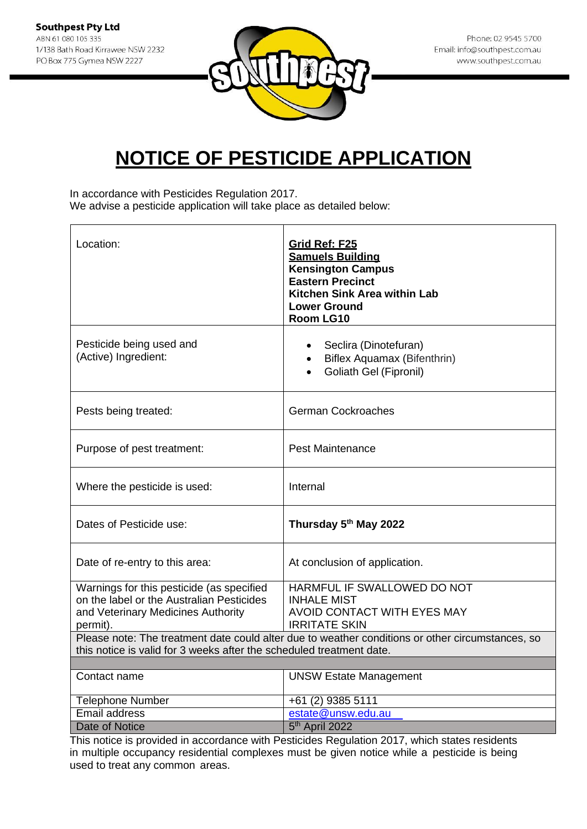

In accordance with Pesticides Regulation 2017. We advise a pesticide application will take place as detailed below:

| Pesticide being used and<br>Seclira (Dinotefuran)<br>(Active) Ingredient:<br>Biflex Aquamax (Bifenthrin)<br>Goliath Gel (Fipronil)<br><b>German Cockroaches</b><br>Pests being treated:<br><b>Pest Maintenance</b><br>Purpose of pest treatment:<br>Internal<br>Where the pesticide is used:<br>Thursday 5th May 2022<br>Dates of Pesticide use:<br>Date of re-entry to this area:<br>At conclusion of application.<br>HARMFUL IF SWALLOWED DO NOT<br>Warnings for this pesticide (as specified<br>on the label or the Australian Pesticides<br><b>INHALE MIST</b><br>and Veterinary Medicines Authority<br>AVOID CONTACT WITH EYES MAY<br><b>IRRITATE SKIN</b><br>permit).<br>Please note: The treatment date could alter due to weather conditions or other circumstances, so<br>this notice is valid for 3 weeks after the scheduled treatment date.<br><b>UNSW Estate Management</b><br>Contact name<br><b>Telephone Number</b><br>+61 (2) 9385 5111<br>Email address<br>estate@unsw.edu.au | Location:      | Grid Ref: F25<br><b>Samuels Building</b><br><b>Kensington Campus</b><br><b>Eastern Precinct</b><br>Kitchen Sink Area within Lab<br><b>Lower Ground</b><br>Room LG10 |
|-------------------------------------------------------------------------------------------------------------------------------------------------------------------------------------------------------------------------------------------------------------------------------------------------------------------------------------------------------------------------------------------------------------------------------------------------------------------------------------------------------------------------------------------------------------------------------------------------------------------------------------------------------------------------------------------------------------------------------------------------------------------------------------------------------------------------------------------------------------------------------------------------------------------------------------------------------------------------------------------------|----------------|---------------------------------------------------------------------------------------------------------------------------------------------------------------------|
|                                                                                                                                                                                                                                                                                                                                                                                                                                                                                                                                                                                                                                                                                                                                                                                                                                                                                                                                                                                                 |                |                                                                                                                                                                     |
|                                                                                                                                                                                                                                                                                                                                                                                                                                                                                                                                                                                                                                                                                                                                                                                                                                                                                                                                                                                                 |                |                                                                                                                                                                     |
|                                                                                                                                                                                                                                                                                                                                                                                                                                                                                                                                                                                                                                                                                                                                                                                                                                                                                                                                                                                                 |                |                                                                                                                                                                     |
|                                                                                                                                                                                                                                                                                                                                                                                                                                                                                                                                                                                                                                                                                                                                                                                                                                                                                                                                                                                                 |                |                                                                                                                                                                     |
|                                                                                                                                                                                                                                                                                                                                                                                                                                                                                                                                                                                                                                                                                                                                                                                                                                                                                                                                                                                                 |                |                                                                                                                                                                     |
|                                                                                                                                                                                                                                                                                                                                                                                                                                                                                                                                                                                                                                                                                                                                                                                                                                                                                                                                                                                                 |                |                                                                                                                                                                     |
|                                                                                                                                                                                                                                                                                                                                                                                                                                                                                                                                                                                                                                                                                                                                                                                                                                                                                                                                                                                                 |                |                                                                                                                                                                     |
|                                                                                                                                                                                                                                                                                                                                                                                                                                                                                                                                                                                                                                                                                                                                                                                                                                                                                                                                                                                                 |                |                                                                                                                                                                     |
|                                                                                                                                                                                                                                                                                                                                                                                                                                                                                                                                                                                                                                                                                                                                                                                                                                                                                                                                                                                                 |                |                                                                                                                                                                     |
|                                                                                                                                                                                                                                                                                                                                                                                                                                                                                                                                                                                                                                                                                                                                                                                                                                                                                                                                                                                                 |                |                                                                                                                                                                     |
|                                                                                                                                                                                                                                                                                                                                                                                                                                                                                                                                                                                                                                                                                                                                                                                                                                                                                                                                                                                                 |                |                                                                                                                                                                     |
|                                                                                                                                                                                                                                                                                                                                                                                                                                                                                                                                                                                                                                                                                                                                                                                                                                                                                                                                                                                                 |                |                                                                                                                                                                     |
| This notice is provided in ecoerdance with Destinides Pequlation 2017, which states residents                                                                                                                                                                                                                                                                                                                                                                                                                                                                                                                                                                                                                                                                                                                                                                                                                                                                                                   | Date of Notice | 5 <sup>th</sup> April 2022                                                                                                                                          |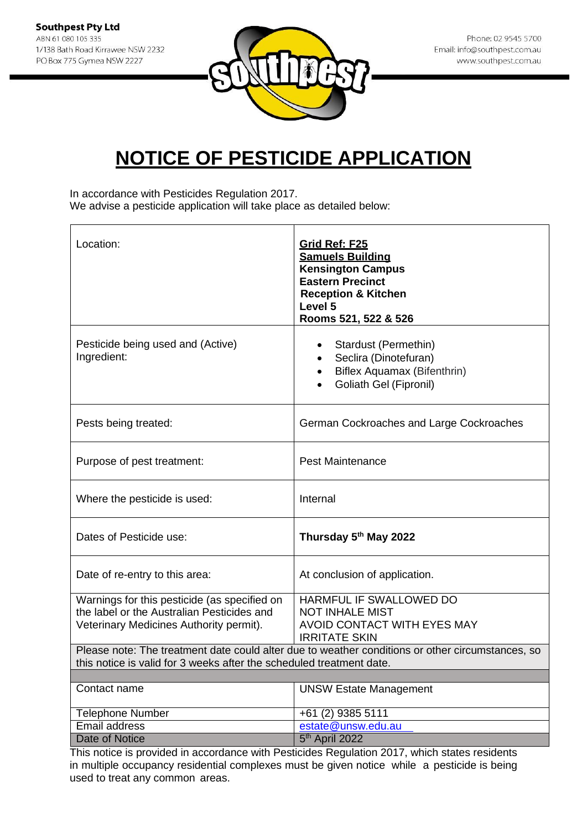

In accordance with Pesticides Regulation 2017. We advise a pesticide application will take place as detailed below:

| Location:                                                                                                                                                                | Grid Ref: F25<br><b>Samuels Building</b><br><b>Kensington Campus</b><br><b>Eastern Precinct</b><br><b>Reception &amp; Kitchen</b><br>Level 5<br>Rooms 521, 522 & 526 |
|--------------------------------------------------------------------------------------------------------------------------------------------------------------------------|----------------------------------------------------------------------------------------------------------------------------------------------------------------------|
| Pesticide being used and (Active)<br>Ingredient:                                                                                                                         | Stardust (Permethin)<br>Seclira (Dinotefuran)<br>$\bullet$<br>Biflex Aquamax (Bifenthrin)<br><b>Goliath Gel (Fipronil)</b>                                           |
| Pests being treated:                                                                                                                                                     | German Cockroaches and Large Cockroaches                                                                                                                             |
| Purpose of pest treatment:                                                                                                                                               | <b>Pest Maintenance</b>                                                                                                                                              |
| Where the pesticide is used:                                                                                                                                             | Internal                                                                                                                                                             |
| Dates of Pesticide use:                                                                                                                                                  | Thursday 5th May 2022                                                                                                                                                |
| Date of re-entry to this area:                                                                                                                                           | At conclusion of application.                                                                                                                                        |
| Warnings for this pesticide (as specified on<br>the label or the Australian Pesticides and<br>Veterinary Medicines Authority permit).                                    | HARMFUL IF SWALLOWED DO<br><b>NOT INHALE MIST</b><br>AVOID CONTACT WITH EYES MAY<br><b>IRRITATE SKIN</b>                                                             |
| Please note: The treatment date could alter due to weather conditions or other circumstances, so<br>this notice is valid for 3 weeks after the scheduled treatment date. |                                                                                                                                                                      |
|                                                                                                                                                                          |                                                                                                                                                                      |
| Contact name                                                                                                                                                             | <b>UNSW Estate Management</b>                                                                                                                                        |
| <b>Telephone Number</b>                                                                                                                                                  | +61 (2) 9385 5111                                                                                                                                                    |
| <b>Email address</b>                                                                                                                                                     | estate@unsw.edu.au                                                                                                                                                   |
| <b>Date of Notice</b>                                                                                                                                                    | 5 <sup>th</sup> April 2022                                                                                                                                           |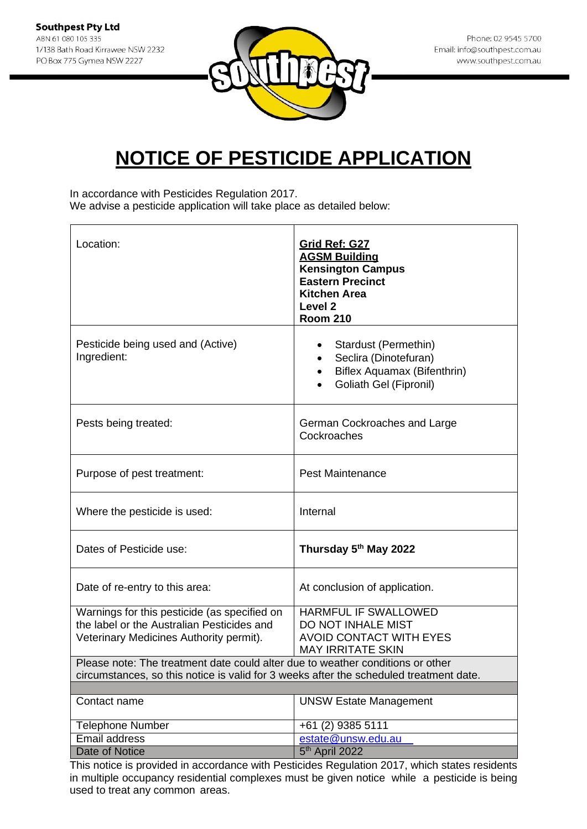

In accordance with Pesticides Regulation 2017. We advise a pesticide application will take place as detailed below:

| Location:                                                                                                                                                                | Grid Ref: G27<br><b>AGSM Building</b><br><b>Kensington Campus</b><br><b>Eastern Precinct</b><br><b>Kitchen Area</b><br>Level <sub>2</sub><br><b>Room 210</b> |
|--------------------------------------------------------------------------------------------------------------------------------------------------------------------------|--------------------------------------------------------------------------------------------------------------------------------------------------------------|
| Pesticide being used and (Active)<br>Ingredient:                                                                                                                         | Stardust (Permethin)<br>Seclira (Dinotefuran)<br>Biflex Aquamax (Bifenthrin)<br>Goliath Gel (Fipronil)                                                       |
| Pests being treated:                                                                                                                                                     | German Cockroaches and Large<br>Cockroaches                                                                                                                  |
| Purpose of pest treatment:                                                                                                                                               | <b>Pest Maintenance</b>                                                                                                                                      |
| Where the pesticide is used:                                                                                                                                             | Internal                                                                                                                                                     |
| Dates of Pesticide use:                                                                                                                                                  | Thursday 5th May 2022                                                                                                                                        |
| Date of re-entry to this area:                                                                                                                                           | At conclusion of application.                                                                                                                                |
| Warnings for this pesticide (as specified on<br>the label or the Australian Pesticides and<br>Veterinary Medicines Authority permit).                                    | HARMFUL IF SWALLOWED<br>DO NOT INHALE MIST<br><b>AVOID CONTACT WITH EYES</b><br><b>MAY IRRITATE SKIN</b>                                                     |
| Please note: The treatment date could alter due to weather conditions or other<br>circumstances, so this notice is valid for 3 weeks after the scheduled treatment date. |                                                                                                                                                              |
|                                                                                                                                                                          |                                                                                                                                                              |
| Contact name                                                                                                                                                             | <b>UNSW Estate Management</b>                                                                                                                                |
| <b>Telephone Number</b>                                                                                                                                                  | +61 (2) 9385 5111                                                                                                                                            |
| Email address                                                                                                                                                            | estate@unsw.edu.au                                                                                                                                           |
| Date of Notice                                                                                                                                                           | 5 <sup>th</sup> April 2022                                                                                                                                   |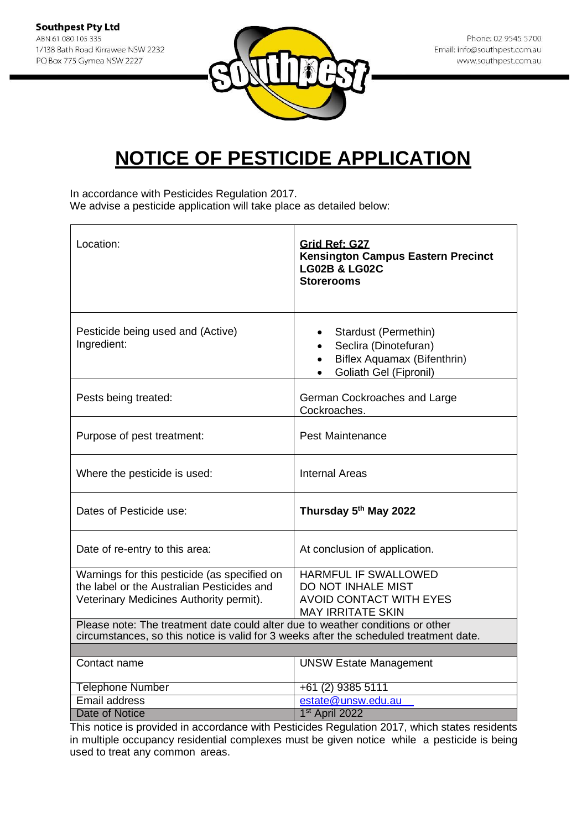

In accordance with Pesticides Regulation 2017. We advise a pesticide application will take place as detailed below:

| Location:                                                                                                                                                                | Grid Ref: G27<br><b>Kensington Campus Eastern Precinct</b><br><b>LG02B &amp; LG02C</b><br><b>Storerooms</b>                                          |
|--------------------------------------------------------------------------------------------------------------------------------------------------------------------------|------------------------------------------------------------------------------------------------------------------------------------------------------|
| Pesticide being used and (Active)<br>Ingredient:                                                                                                                         | Stardust (Permethin)<br>$\bullet$<br>Seclira (Dinotefuran)<br>$\bullet$<br>Biflex Aquamax (Bifenthrin)<br>$\bullet$<br><b>Goliath Gel (Fipronil)</b> |
| Pests being treated:                                                                                                                                                     | German Cockroaches and Large<br>Cockroaches.                                                                                                         |
| Purpose of pest treatment:                                                                                                                                               | <b>Pest Maintenance</b>                                                                                                                              |
| Where the pesticide is used:                                                                                                                                             | <b>Internal Areas</b>                                                                                                                                |
| Dates of Pesticide use:                                                                                                                                                  | Thursday 5th May 2022                                                                                                                                |
| Date of re-entry to this area:                                                                                                                                           | At conclusion of application.                                                                                                                        |
| Warnings for this pesticide (as specified on<br>the label or the Australian Pesticides and<br>Veterinary Medicines Authority permit).                                    | HARMFUL IF SWALLOWED<br>DO NOT INHALE MIST<br><b>AVOID CONTACT WITH EYES</b><br><b>MAY IRRITATE SKIN</b>                                             |
| Please note: The treatment date could alter due to weather conditions or other<br>circumstances, so this notice is valid for 3 weeks after the scheduled treatment date. |                                                                                                                                                      |
| Contact name                                                                                                                                                             | <b>UNSW Estate Management</b>                                                                                                                        |
|                                                                                                                                                                          |                                                                                                                                                      |
| <b>Telephone Number</b>                                                                                                                                                  | +61 (2) 9385 5111                                                                                                                                    |
| Email address                                                                                                                                                            | estate@unsw.edu.au                                                                                                                                   |
| <b>Date of Notice</b>                                                                                                                                                    | 1 <sup>st</sup> April 2022                                                                                                                           |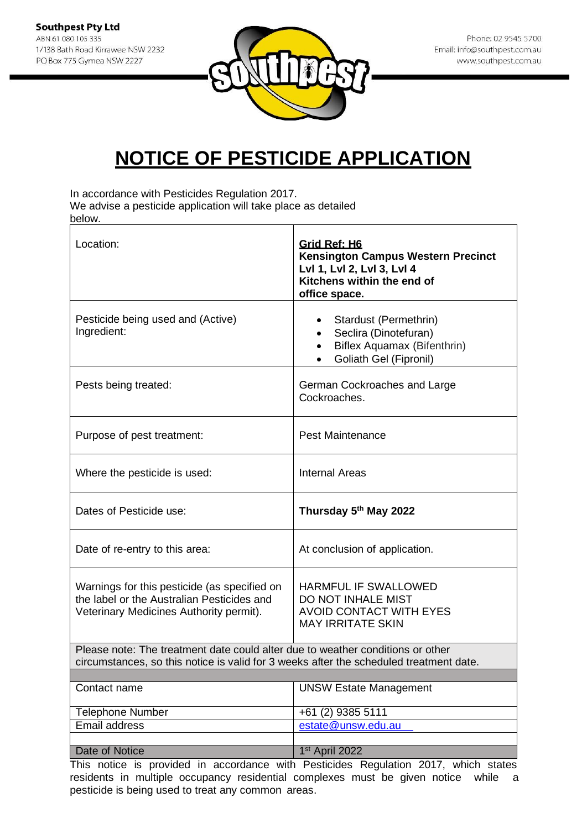

In accordance with Pesticides Regulation 2017.

We advise a pesticide application will take place as detailed below.

| Location:                                                                                                                                                                | Grid Ref: H6<br><b>Kensington Campus Western Precinct</b><br>Lvl 1, Lvl 2, Lvl 3, Lvl 4<br>Kitchens within the end of<br>office space. |
|--------------------------------------------------------------------------------------------------------------------------------------------------------------------------|----------------------------------------------------------------------------------------------------------------------------------------|
| Pesticide being used and (Active)<br>Ingredient:                                                                                                                         | Stardust (Permethrin)<br>Seclira (Dinotefuran)<br>Biflex Aquamax (Bifenthrin)<br>$\bullet$<br>Goliath Gel (Fipronil)                   |
| Pests being treated:                                                                                                                                                     | German Cockroaches and Large<br>Cockroaches.                                                                                           |
| Purpose of pest treatment:                                                                                                                                               | <b>Pest Maintenance</b>                                                                                                                |
| Where the pesticide is used:                                                                                                                                             | <b>Internal Areas</b>                                                                                                                  |
| Dates of Pesticide use:                                                                                                                                                  | Thursday 5th May 2022                                                                                                                  |
| Date of re-entry to this area:                                                                                                                                           | At conclusion of application.                                                                                                          |
| Warnings for this pesticide (as specified on<br>the label or the Australian Pesticides and<br>Veterinary Medicines Authority permit).                                    | HARMFUL IF SWALLOWED<br>DO NOT INHALE MIST<br><b>AVOID CONTACT WITH EYES</b><br><b>MAY IRRITATE SKIN</b>                               |
| Please note: The treatment date could alter due to weather conditions or other<br>circumstances, so this notice is valid for 3 weeks after the scheduled treatment date. |                                                                                                                                        |
|                                                                                                                                                                          |                                                                                                                                        |
| Contact name                                                                                                                                                             | <b>UNSW Estate Management</b>                                                                                                          |
| <b>Telephone Number</b>                                                                                                                                                  | +61 (2) 9385 5111                                                                                                                      |
| <b>Email address</b>                                                                                                                                                     | estate@unsw.edu.au                                                                                                                     |
| Date of Notice                                                                                                                                                           | 1 <sup>st</sup> April 2022                                                                                                             |
|                                                                                                                                                                          |                                                                                                                                        |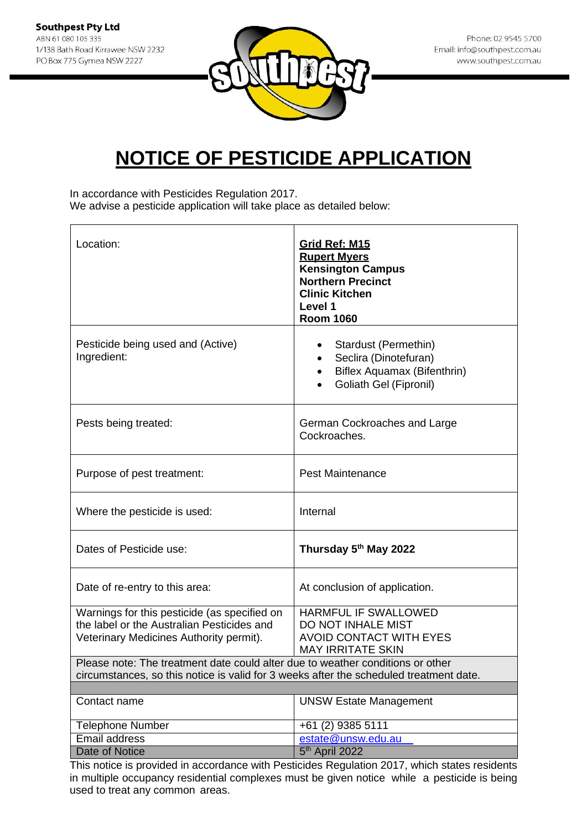

In accordance with Pesticides Regulation 2017. We advise a pesticide application will take place as detailed below:

| Location:                                                                              | <b>Grid Ref: M15</b><br><b>Rupert Myers</b><br><b>Kensington Campus</b><br><b>Northern Precinct</b><br><b>Clinic Kitchen</b><br>Level 1<br><b>Room 1060</b> |
|----------------------------------------------------------------------------------------|-------------------------------------------------------------------------------------------------------------------------------------------------------------|
| Pesticide being used and (Active)<br>Ingredient:                                       | Stardust (Permethin)<br>٠<br>Seclira (Dinotefuran)<br>$\bullet$<br>Biflex Aquamax (Bifenthrin)<br>$\bullet$<br>Goliath Gel (Fipronil)                       |
| Pests being treated:                                                                   | German Cockroaches and Large<br>Cockroaches.                                                                                                                |
| Purpose of pest treatment:                                                             | <b>Pest Maintenance</b>                                                                                                                                     |
| Where the pesticide is used:                                                           | Internal                                                                                                                                                    |
| Dates of Pesticide use:                                                                | Thursday 5th May 2022                                                                                                                                       |
| Date of re-entry to this area:                                                         | At conclusion of application.                                                                                                                               |
| Warnings for this pesticide (as specified on                                           | HARMFUL IF SWALLOWED                                                                                                                                        |
| the label or the Australian Pesticides and<br>Veterinary Medicines Authority permit).  | DO NOT INHALE MIST<br><b>AVOID CONTACT WITH EYES</b>                                                                                                        |
|                                                                                        | <b>MAY IRRITATE SKIN</b>                                                                                                                                    |
| Please note: The treatment date could alter due to weather conditions or other         |                                                                                                                                                             |
| circumstances, so this notice is valid for 3 weeks after the scheduled treatment date. |                                                                                                                                                             |
| Contact name                                                                           | <b>UNSW Estate Management</b>                                                                                                                               |
| <b>Telephone Number</b>                                                                | +61 (2) 9385 5111                                                                                                                                           |
| <b>Email address</b>                                                                   | estate@unsw.edu.au                                                                                                                                          |
| Date of Notice                                                                         | 5 <sup>th</sup> April 2022                                                                                                                                  |